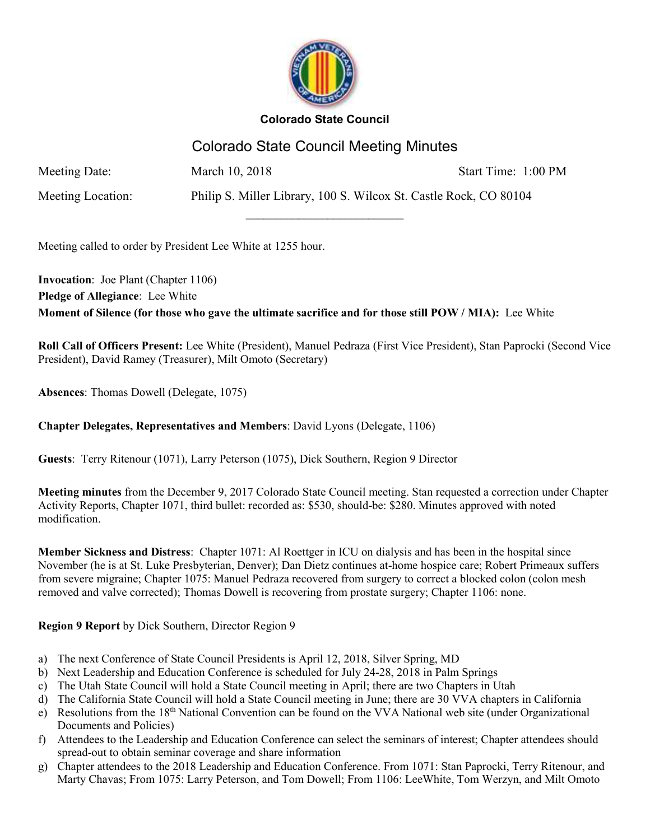

# Colorado State Council Meeting Minutes

 $\overline{\phantom{a}}$  , where  $\overline{\phantom{a}}$  , where  $\overline{\phantom{a}}$  , where  $\overline{\phantom{a}}$ 

Meeting Date: March 10, 2018 Start Time: 1:00 PM

Meeting Location: Philip S. Miller Library, 100 S. Wilcox St. Castle Rock, CO 80104

Meeting called to order by President Lee White at 1255 hour.

**Invocation**: Joe Plant (Chapter 1106) **Pledge of Allegiance**: Lee White **Moment of Silence (for those who gave the ultimate sacrifice and for those still POW / MIA):** Lee White

**Roll Call of Officers Present:** Lee White (President), Manuel Pedraza (First Vice President), Stan Paprocki (Second Vice President), David Ramey (Treasurer), Milt Omoto (Secretary)

**Absences**: Thomas Dowell (Delegate, 1075)

# **Chapter Delegates, Representatives and Members**: David Lyons (Delegate, 1106)

**Guests**: Terry Ritenour (1071), Larry Peterson (1075), Dick Southern, Region 9 Director

**Meeting minutes** from the December 9, 2017 Colorado State Council meeting. Stan requested a correction under Chapter Activity Reports, Chapter 1071, third bullet: recorded as: \$530, should-be: \$280. Minutes approved with noted modification.

**Member Sickness and Distress**: Chapter 1071: Al Roettger in ICU on dialysis and has been in the hospital since November (he is at St. Luke Presbyterian, Denver); Dan Dietz continues at-home hospice care; Robert Primeaux suffers from severe migraine; Chapter 1075: Manuel Pedraza recovered from surgery to correct a blocked colon (colon mesh removed and valve corrected); Thomas Dowell is recovering from prostate surgery; Chapter 1106: none.

#### **Region 9 Report** by Dick Southern, Director Region 9

- a) The next Conference of State Council Presidents is April 12, 2018, Silver Spring, MD
- b) Next Leadership and Education Conference is scheduled for July 24-28, 2018 in Palm Springs
- c) The Utah State Council will hold a State Council meeting in April; there are two Chapters in Utah
- d) The California State Council will hold a State Council meeting in June; there are 30 VVA chapters in California
- e) Resolutions from the 18<sup>th</sup> National Convention can be found on the VVA National web site (under Organizational Documents and Policies)
- f) Attendees to the Leadership and Education Conference can select the seminars of interest; Chapter attendees should spread-out to obtain seminar coverage and share information
- g) Chapter attendees to the 2018 Leadership and Education Conference. From 1071: Stan Paprocki, Terry Ritenour, and Marty Chavas; From 1075: Larry Peterson, and Tom Dowell; From 1106: LeeWhite, Tom Werzyn, and Milt Omoto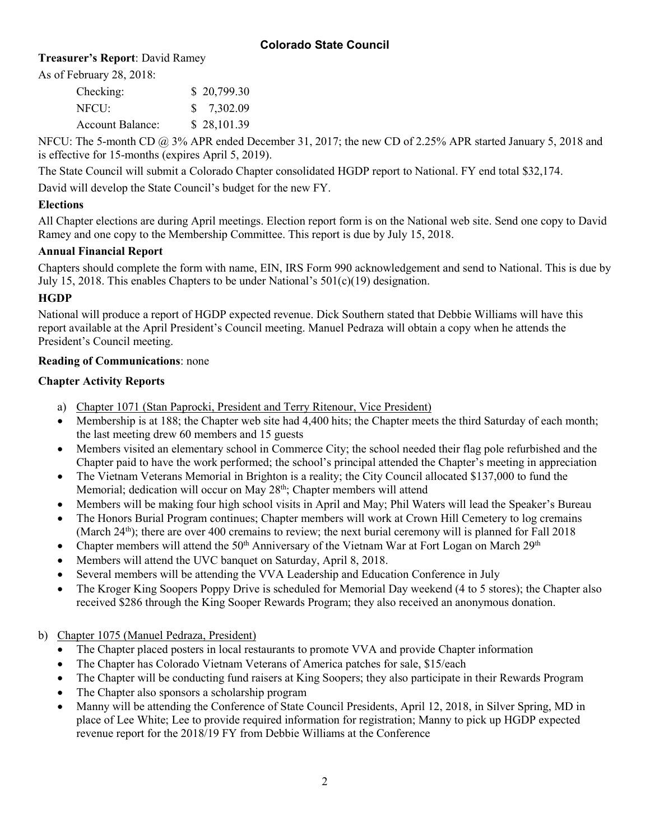# **Treasurer's Report**: David Ramey

As of February 28, 2018:

| Checking:               | \$20,799.30 |
|-------------------------|-------------|
| NFCU:                   | \$7,302.09  |
| <b>Account Balance:</b> | \$28,101.39 |

NFCU: The 5-month CD @ 3% APR ended December 31, 2017; the new CD of 2.25% APR started January 5, 2018 and is effective for 15-months (expires April 5, 2019).

The State Council will submit a Colorado Chapter consolidated HGDP report to National. FY end total \$32,174.

David will develop the State Council's budget for the new FY.

### **Elections**

All Chapter elections are during April meetings. Election report form is on the National web site. Send one copy to David Ramey and one copy to the Membership Committee. This report is due by July 15, 2018.

# **Annual Financial Report**

Chapters should complete the form with name, EIN, IRS Form 990 acknowledgement and send to National. This is due by July 15, 2018. This enables Chapters to be under National's 501(c)(19) designation.

# **HGDP**

National will produce a report of HGDP expected revenue. Dick Southern stated that Debbie Williams will have this report available at the April President's Council meeting. Manuel Pedraza will obtain a copy when he attends the President's Council meeting.

#### **Reading of Communications**: none

# **Chapter Activity Reports**

- a) Chapter 1071 (Stan Paprocki, President and Terry Ritenour, Vice President)
- Membership is at 188; the Chapter web site had 4,400 hits; the Chapter meets the third Saturday of each month; the last meeting drew 60 members and 15 guests
- Members visited an elementary school in Commerce City; the school needed their flag pole refurbished and the Chapter paid to have the work performed; the school's principal attended the Chapter's meeting in appreciation
- The Vietnam Veterans Memorial in Brighton is a reality; the City Council allocated \$137,000 to fund the Memorial; dedication will occur on May 28<sup>th</sup>; Chapter members will attend
- Members will be making four high school visits in April and May; Phil Waters will lead the Speaker's Bureau
- The Honors Burial Program continues; Chapter members will work at Crown Hill Cemetery to log cremains (March  $24<sup>th</sup>$ ); there are over 400 cremains to review; the next burial ceremony will is planned for Fall 2018
- Chapter members will attend the 50<sup>th</sup> Anniversary of the Vietnam War at Fort Logan on March 29<sup>th</sup>
- Members will attend the UVC banquet on Saturday, April 8, 2018.
- Several members will be attending the VVA Leadership and Education Conference in July
- The Kroger King Soopers Poppy Drive is scheduled for Memorial Day weekend (4 to 5 stores); the Chapter also received \$286 through the King Sooper Rewards Program; they also received an anonymous donation.

#### b) Chapter 1075 (Manuel Pedraza, President)

- The Chapter placed posters in local restaurants to promote VVA and provide Chapter information
- The Chapter has Colorado Vietnam Veterans of America patches for sale, \$15/each
- The Chapter will be conducting fund raisers at King Soopers; they also participate in their Rewards Program
- The Chapter also sponsors a scholarship program
- Manny will be attending the Conference of State Council Presidents, April 12, 2018, in Silver Spring, MD in place of Lee White; Lee to provide required information for registration; Manny to pick up HGDP expected revenue report for the 2018/19 FY from Debbie Williams at the Conference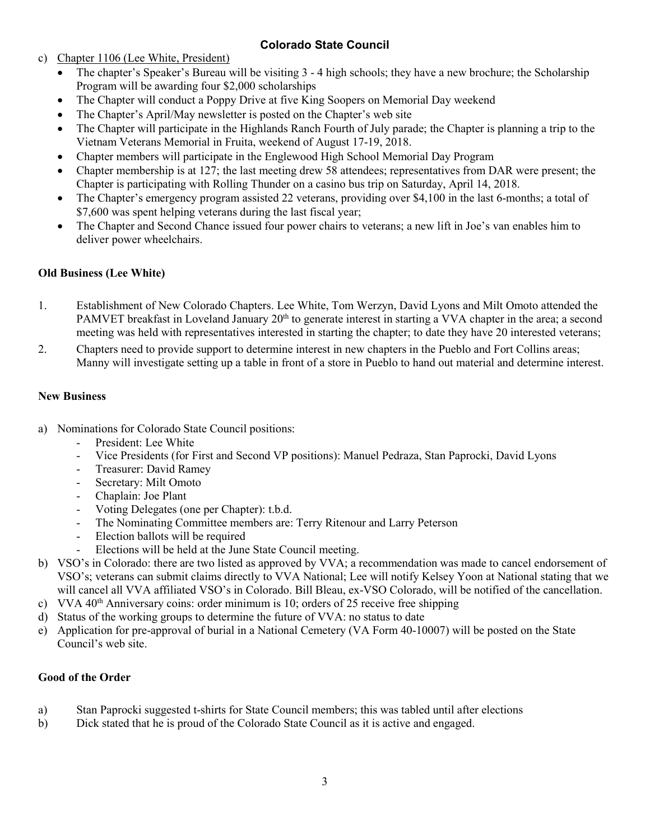c) Chapter 1106 (Lee White, President)

- The chapter's Speaker's Bureau will be visiting 3 4 high schools; they have a new brochure; the Scholarship Program will be awarding four \$2,000 scholarships
- The Chapter will conduct a Poppy Drive at five King Soopers on Memorial Day weekend
- The Chapter's April/May newsletter is posted on the Chapter's web site
- The Chapter will participate in the Highlands Ranch Fourth of July parade; the Chapter is planning a trip to the Vietnam Veterans Memorial in Fruita, weekend of August 17-19, 2018.
- Chapter members will participate in the Englewood High School Memorial Day Program
- Chapter membership is at 127; the last meeting drew 58 attendees; representatives from DAR were present; the Chapter is participating with Rolling Thunder on a casino bus trip on Saturday, April 14, 2018.
- The Chapter's emergency program assisted 22 veterans, providing over \$4,100 in the last 6-months; a total of \$7,600 was spent helping veterans during the last fiscal year;
- The Chapter and Second Chance issued four power chairs to veterans; a new lift in Joe's van enables him to deliver power wheelchairs.

#### **Old Business (Lee White)**

- 1. Establishment of New Colorado Chapters. Lee White, Tom Werzyn, David Lyons and Milt Omoto attended the PAMVET breakfast in Loveland January 20<sup>th</sup> to generate interest in starting a VVA chapter in the area; a second meeting was held with representatives interested in starting the chapter; to date they have 20 interested veterans;
- 2. Chapters need to provide support to determine interest in new chapters in the Pueblo and Fort Collins areas; Manny will investigate setting up a table in front of a store in Pueblo to hand out material and determine interest.

#### **New Business**

- a) Nominations for Colorado State Council positions:
	- President: Lee White
	- Vice Presidents (for First and Second VP positions): Manuel Pedraza, Stan Paprocki, David Lyons
	- Treasurer: David Ramey
	- Secretary: Milt Omoto
	- Chaplain: Joe Plant
	- Voting Delegates (one per Chapter): t.b.d.
	- The Nominating Committee members are: Terry Ritenour and Larry Peterson
	- Election ballots will be required
	- Elections will be held at the June State Council meeting.
- b) VSO's in Colorado: there are two listed as approved by VVA; a recommendation was made to cancel endorsement of VSO's; veterans can submit claims directly to VVA National; Lee will notify Kelsey Yoon at National stating that we will cancel all VVA affiliated VSO's in Colorado. Bill Bleau, ex-VSO Colorado, will be notified of the cancellation.
- c) VVA  $40<sup>th</sup>$  Anniversary coins: order minimum is 10; orders of 25 receive free shipping
- d) Status of the working groups to determine the future of VVA: no status to date
- e) Application for pre-approval of burial in a National Cemetery (VA Form 40-10007) will be posted on the State Council's web site.

#### **Good of the Order**

- a) Stan Paprocki suggested t-shirts for State Council members; this was tabled until after elections
- b) Dick stated that he is proud of the Colorado State Council as it is active and engaged.